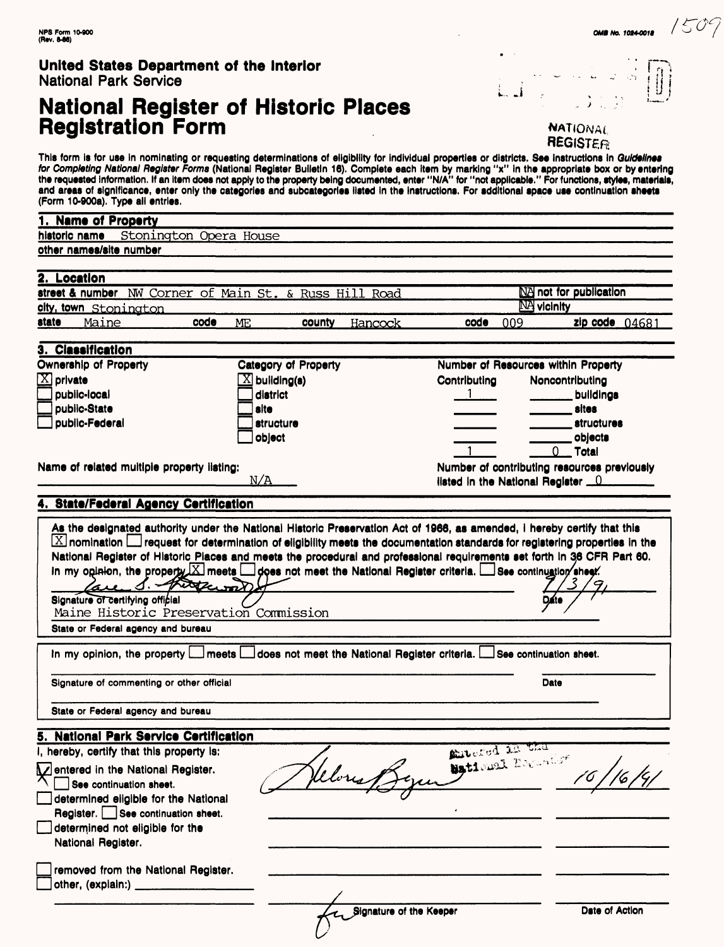### **United States Department of the Interior** National Park Service

# **National Register of Historic Places Registration Form** NATIONAL RESERVE TO A **NATIONAL**



This form is for use in nominating or requesting determinations of eligibility for individual properties or districts. See instructions in *Guidelines*<br>*for Completing National Register Forms* (National Register Bulletin 1 the requested Information. If an item does not apply to the property being documented, enter "N/A" for "not applicable." For functions, styles, materials, and areas of significance, enter only the categories and subcategories listed In the Instructions. For additional space use continuation sheets (Form 10-900a). Type all entries.

| ,,,, ,, ,,,,,, , , <b>,</b>                                                                       |                                                                                                                          |                         |                                             |  |
|---------------------------------------------------------------------------------------------------|--------------------------------------------------------------------------------------------------------------------------|-------------------------|---------------------------------------------|--|
| 1. Name of Property                                                                               |                                                                                                                          |                         |                                             |  |
| historic name Stonington Opera House                                                              |                                                                                                                          |                         |                                             |  |
| other names/site number                                                                           |                                                                                                                          |                         |                                             |  |
|                                                                                                   |                                                                                                                          |                         |                                             |  |
| 2. Location                                                                                       |                                                                                                                          |                         |                                             |  |
|                                                                                                   | street & number NW Corner of Main St. & Russ Hill Road                                                                   |                         | NA not for publication                      |  |
| <u>city, town Stonington</u>                                                                      |                                                                                                                          |                         | <b>NA</b> vicinity                          |  |
| code<br>state<br>Maine                                                                            | county<br>ME<br>Hancock                                                                                                  | code<br>009             | zip code $04681$                            |  |
| 3. Classification                                                                                 |                                                                                                                          |                         |                                             |  |
| Ownership of Property                                                                             | Category of Property                                                                                                     |                         | Number of Resources within Property         |  |
| $\boxed{\text{X}}$ private                                                                        | $\boxed{\text{X}}$ building(s)                                                                                           | Contributing            | Noncontributing                             |  |
| public-local                                                                                      | district                                                                                                                 | $1$ <sub>---</sub>      | buildings                                   |  |
| public-State                                                                                      | site                                                                                                                     |                         | sites                                       |  |
| public-Federal                                                                                    | structure                                                                                                                |                         | <i>structures</i>                           |  |
|                                                                                                   | object                                                                                                                   |                         | objects                                     |  |
|                                                                                                   |                                                                                                                          |                         | $0$ Total                                   |  |
| Name of related muitiple property listing:                                                        |                                                                                                                          |                         | Number of contributing resources previously |  |
|                                                                                                   | N/A                                                                                                                      |                         | listed in the National Register <u>0</u>    |  |
| 4. State/Federal Agency Certification                                                             |                                                                                                                          |                         |                                             |  |
|                                                                                                   | As the designated authority under the National Historic Preservation Act of 1966, as amended, i hereby certify that this |                         |                                             |  |
| are S. - there with<br>Signature of certifying official<br>Maine Historic Preservation Commission |                                                                                                                          |                         |                                             |  |
| State or Federal agency and bureau                                                                |                                                                                                                          |                         |                                             |  |
|                                                                                                   | In my opinion, the property [1] meets [1] does not meet the National Register criteria.                                  |                         | $\Box$ See continuation sheet.              |  |
|                                                                                                   | Signature of commenting or other official                                                                                |                         | Date                                        |  |
| State or Federal agency and bureau                                                                |                                                                                                                          |                         |                                             |  |
| <b>National Park Service Certification</b><br>5.                                                  |                                                                                                                          |                         |                                             |  |
| I, hereby, certify that this property is:                                                         |                                                                                                                          | antered in the          |                                             |  |
| Mentered in the National Register.                                                                | eloris                                                                                                                   | Maticual Boccator       |                                             |  |
| Λ<br>See continuation sheet.                                                                      |                                                                                                                          |                         |                                             |  |
| determined eligible for the National                                                              |                                                                                                                          |                         |                                             |  |
| Register. See continuation sheet.                                                                 |                                                                                                                          |                         |                                             |  |
| determined not eligible for the                                                                   |                                                                                                                          |                         |                                             |  |
| National Register.                                                                                |                                                                                                                          |                         |                                             |  |
|                                                                                                   |                                                                                                                          |                         |                                             |  |
| removed from the National Register.                                                               |                                                                                                                          |                         |                                             |  |
|                                                                                                   |                                                                                                                          |                         |                                             |  |
|                                                                                                   |                                                                                                                          | Signature of the Keeper | Date of Action                              |  |
|                                                                                                   |                                                                                                                          |                         |                                             |  |
|                                                                                                   |                                                                                                                          |                         |                                             |  |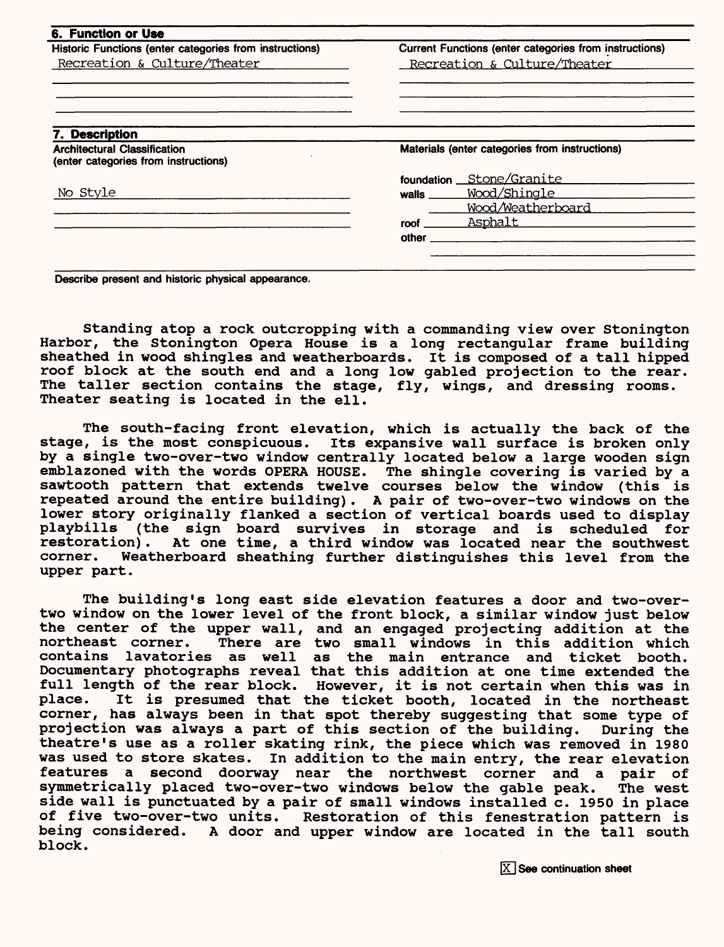| Historic Functions (enter categories from instructions)                     | Current Functions (enter categories from instructions) |  |  |
|-----------------------------------------------------------------------------|--------------------------------------------------------|--|--|
| Recreation & Culture/Theater                                                | Recreation & Culture/Theater                           |  |  |
|                                                                             |                                                        |  |  |
| '. Description                                                              |                                                        |  |  |
| <b>Architectural Classification</b><br>(enter categories from instructions) | Materials (enter categories from instructions)         |  |  |
|                                                                             | foundation __ Stone/Granite                            |  |  |
| No Style                                                                    | Wood/Shingle<br>walls <u>walls</u>                     |  |  |
|                                                                             | Wood/Weatherboard                                      |  |  |
|                                                                             | Asphalt<br>roof                                        |  |  |
|                                                                             |                                                        |  |  |

**Describe present and historic physical appearance.**

Standing atop a rock outcropping with a commanding view over Stonington Harbor, the Stonington Opera House is a long rectangular frame building sheathed in wood shingles and weatherboards. It is composed of a tall hipped roof block at the south end and a long low gabled projection to the rear. The taller section contains the stage, fly, wings, and dressing rooms. Theater seating is located in the ell.

The south-facing front elevation, which is actually the back of the stage, is the most conspicuous. Its expansive wall surface is broken only by a single two-over-two window centrally located below a large wooden sign emblazoned with the words OPERA HOUSE. The shingle covering is varied by a sawtooth pattern that extends twelve courses below the window (this is repeated around the entire building). A pair of two-over-two windows on the lower story originally flanked a section of vertical boards used to display playbills (the sign board survives in storage and is scheduled for restoration). At one time, a third window was located near the southwest corner. Weatherboard sheathing further distinguishes this level from the upper part.

The building's long east side elevation features a door and two-overtwo window on the lower level of the front block, a similar window just below the center of the upper wall, and an engaged projecting addition at the northeast corner. There are two small windows in this addition which contains lavatories as well as the main entrance and ticket booth. Documentary photographs reveal that this addition at one time extended the full length of the rear block. However, it is not certain when this was in place. It is presumed that the ticket booth. located in the northeast It is presumed that the ticket booth, located in the northeast corner, has always been in that spot thereby suggesting that some type of projection was always a part of this section of the building. During the theatre's use as a roller skating rink, the piece which was removed in 1980 was used to store skates. In addition to the main entry, the rear elevation features a second doorway near the northwest corner and a pair of symmetrically placed two-over-two windows below the gable peak. The west side wall is punctuated by a pair of small windows installed c. 1950 in place of five two-over-two units. Restoration of this fenestration pattern is being considered. A door and upper window are located in the tall south block.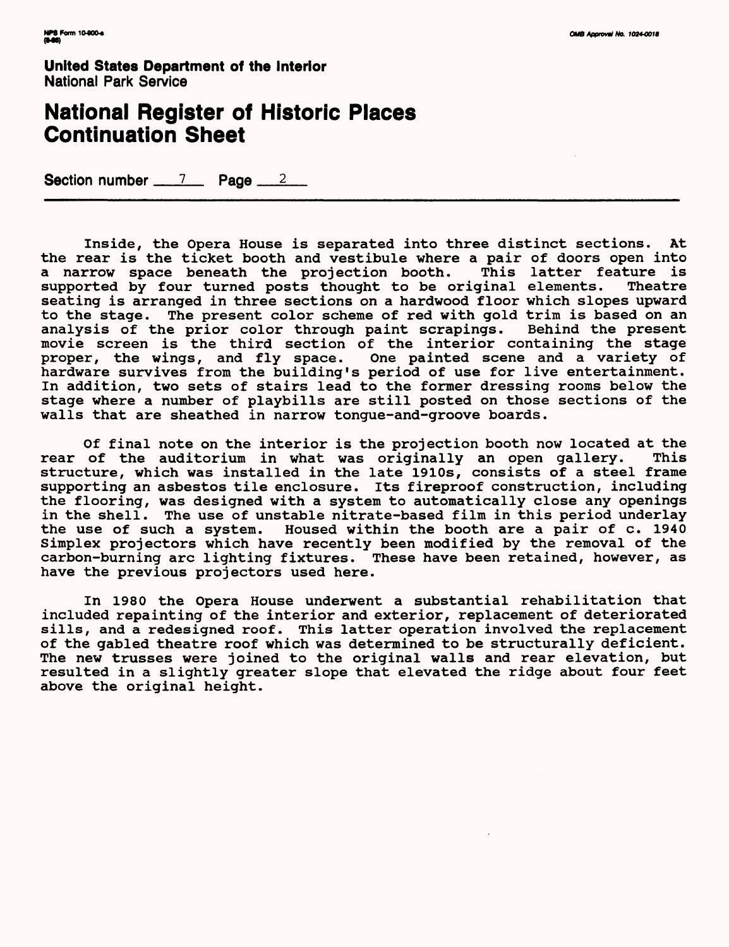**United States Department of the Interior** National Park Service

## **National Register of Historic Places Continuation Sheet**

Section number  $\frac{7}{2}$  Page  $\frac{2}{2}$ 

Inside, the Opera House is separated into three distinct sections. At the rear is the ticket booth and vestibule where a pair of doors open into<br>a narrow space beneath the projection booth. This latter feature is a narrow space beneath the projection booth. This latter feature is<br>supported by four turned posts thought to be original elements. Theatre supported by four turned posts thought to be original elements. seating is arranged in three sections on a hardwood floor which slopes upward to the stage. The present color scheme of red with gold trim is based on an analysis of the prior color through paint scrapings. Behind the present analysis of the prior color through paint scrapings. movie screen is the third section of the interior containing the stage proper, the wings, and fly space. One painted scene and a variety of hardware survives from the building's period of use for live entertainment. In addition, two sets of stairs lead to the former dressing rooms below the stage where a number of playbills are still posted on those sections of the walls that are sheathed in narrow tongue-and-groove boards.

Of final note on the interior is the projection booth now located at the<br>of the auditorium in what was originally an open gallery. This rear of the auditorium in what was originally an open gallery. structure, which was installed in the late 1910s, consists of a steel frame supporting an asbestos tile enclosure. Its fireproof construction, including the flooring, was designed with a system to automatically close any openings in the shell. The use of unstable nitrate-based film in this period underlay the use of such a system. Housed within the booth are a pair of c. 1940 Simplex projectors which have recently been modified by the removal of the carbon-burning arc lighting fixtures. These have been retained, however, as have the previous projectors used here.

In 1980 the Opera House underwent a substantial rehabilitation that included repainting of the interior and exterior, replacement of deteriorated sills, and a redesigned roof. This latter operation involved the replacement of the gabled theatre roof which was determined to be structurally deficient. The new trusses were joined to the original walls and rear elevation, but resulted in a slightly greater slope that elevated the ridge about four feet above the original height.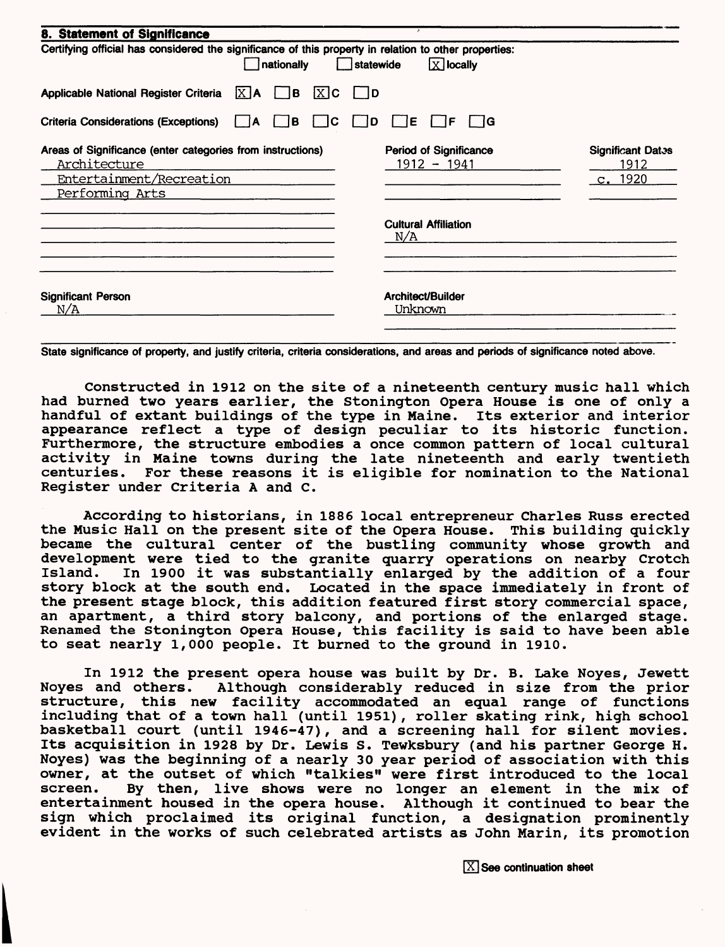| 8. Statement of Significance                                                                                                                               | $\overline{\phantom{a}}$                       |                                             |  |  |  |
|------------------------------------------------------------------------------------------------------------------------------------------------------------|------------------------------------------------|---------------------------------------------|--|--|--|
| Certifying official has considered the significance of this property in relation to other properties:<br>$\overline{X}$ locally<br>nationally<br>statewide |                                                |                                             |  |  |  |
| Applicable National Register Criteria<br>$X$ $A$<br>l B<br>$[X]$ C                                                                                         | 1D                                             |                                             |  |  |  |
| <b>Criteria Considerations (Exceptions)</b><br>l B<br>С<br>А                                                                                               | ΙE<br>lG.<br>ΙF<br>D                           |                                             |  |  |  |
| Areas of Significance (enter categories from instructions)<br>Architecture<br>Entertainment/Recreation<br>Performing Arts                                  | <b>Period of Significance</b><br>$1912 - 1941$ | <b>Significant Dates</b><br>1912<br>c. 1920 |  |  |  |
|                                                                                                                                                            | <b>Cultural Affiliation</b><br>N/A             |                                             |  |  |  |
| <b>Significant Person</b><br>N/A                                                                                                                           | Architect/Builder<br>Unknown                   |                                             |  |  |  |

**State significance of property, and justify criteria, criteria considerations, and areas and periods of significance noted above.**

Constructed in 1912 on the site of a nineteenth century music hall which had burned two years earlier, the Stonington Opera House is one of only a handful of extant buildings of the type in Maine. Its exterior and interior appearance reflect a type of design peculiar to its historic function. Furthermore, the structure embodies a once common pattern of local cultural activity in Maine towns during the late nineteenth and early twentieth centuries. For these reasons it is eligible for nomination to the National Register under Criteria A and C.

According to historians, in 1886 local entrepreneur Charles Russ erected the Music Hall on the present site of the Opera House. This building quickly became the cultural center of the bustling community whose growth and development were tied to the granite quarry operations on nearby Crotch Island. In 1900 it was substantially enlarged by the addition of a four story block at the south end. Located in the space immediately in front of the present stage block, this addition featured first story commercial space, an apartment, a third story balcony, and portions of the enlarged stage. Renamed the Stonington Opera House, this facility is said to have been able to seat nearly 1,000 people. It burned to the ground in 1910.

In 1912 the present opera house was built by Dr. B. Lake Noyes, Jewett<br>Noyes and others. Although considerably reduced in size from the prior Although considerably reduced in size from the prior structure, this new facility accommodated an equal range of functions including that of a town hall (until 1951), roller skating rink, high school basketball court (until 1946-47), and a screening hall for silent movies. Its acquisition in 1928 by Dr. Lewis S. Tewksbury (and his partner George H. Noyes) was the beginning of a nearly 30 year period of association with this owner, at the outset of which "talkies" were first introduced to the local screen. By then, live shows were no longer an element in the mix of entertainment housed in the opera house. Although it continued to bear the sign which proclaimed its original function, a designation prominently evident in the works of such celebrated artists as John Marin, its promotion

I

 $[\overline{X}]$  See continuation sheet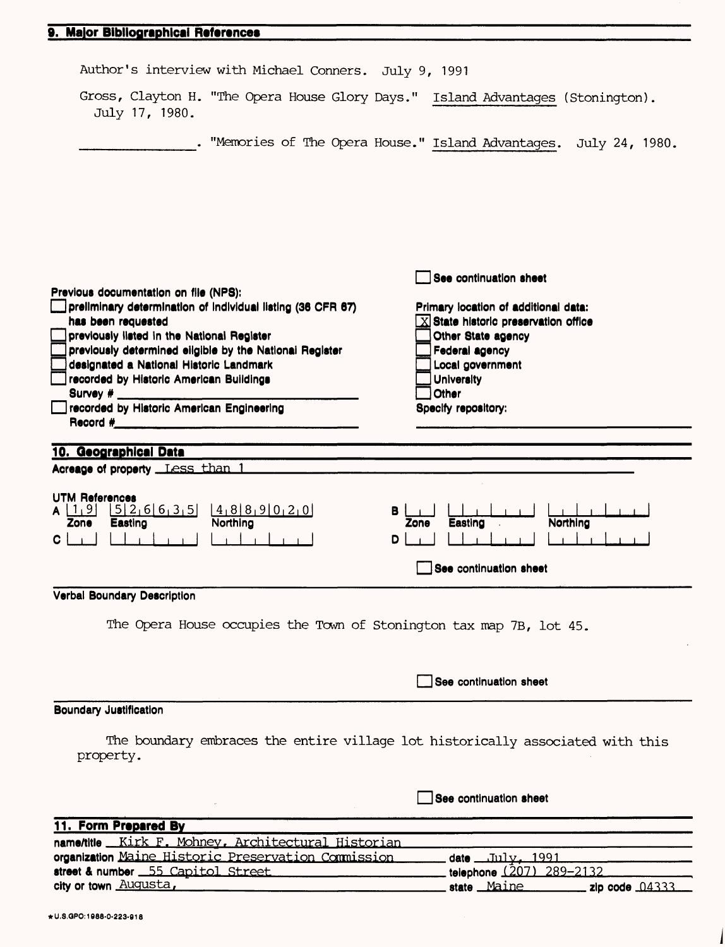#### **9. Major Bibliographical References**

| Author's interview with Michael Conners. July 9, 1991                                                                                                   |                                                                                                  |
|---------------------------------------------------------------------------------------------------------------------------------------------------------|--------------------------------------------------------------------------------------------------|
| July 17, 1980.                                                                                                                                          | Gross, Clayton H. "The Opera House Glory Days." Island Advantages (Stonington).                  |
|                                                                                                                                                         | . "Memories of The Opera House." Island Advantages. July 24, 1980.                               |
|                                                                                                                                                         |                                                                                                  |
| Previous documentation on file (NPS):                                                                                                                   | See continuation sheet                                                                           |
| preliminary determination of individual listing (36 CFR 67)<br>has been requested                                                                       | Primary location of additional data:<br>$\overline{\text{X}}$ State historic preservation office |
| previously listed in the National Register                                                                                                              | Other State agency                                                                               |
| previously determined eligible by the National Register<br>designated a National Historic Landmark                                                      | Federal agency<br>Local government                                                               |
| recorded by Historic American Buildings<br>Survey $#_$                                                                                                  | <b>University</b><br>Other                                                                       |
| recorded by Historic American Engineering<br>Record #                                                                                                   | Specify repository:                                                                              |
| 10. Geographical Data                                                                                                                                   |                                                                                                  |
| Acreage of property Less than 1                                                                                                                         |                                                                                                  |
| <b>UTM References</b><br>$[5]$ 2 <sub>1</sub> 6 6 3 <sub>1</sub> 5 $[4]$ 8 8 9 0 2 0<br>$\lfloor 1, 9 \rfloor$<br>A<br>Northing<br>Easting<br>Zone<br>C | в<br>Northing<br>Easting<br>Zone<br>D<br>See continuation sheet                                  |
|                                                                                                                                                         |                                                                                                  |
| Verbal Boundary Description                                                                                                                             |                                                                                                  |
| The Opera House occupies the Town of Stonington tax map 7B, lot 45.                                                                                     |                                                                                                  |
|                                                                                                                                                         |                                                                                                  |
|                                                                                                                                                         | See continuation sheet                                                                           |
| <b>Boundary Justification</b>                                                                                                                           |                                                                                                  |
|                                                                                                                                                         |                                                                                                  |
| property.                                                                                                                                               | The boundary embraces the entire village lot historically associated with this                   |
|                                                                                                                                                         | See continuation sheet                                                                           |

| name/title __Kirk F. Mohney, Architectural Historian |                          |  |
|------------------------------------------------------|--------------------------|--|
| organization Maine Historic Preservation Commission  | date __July,1991,        |  |
| street & number 55 Capitol Street                    | telephone (207) 289-2132 |  |
| city or town Augusta,                                | state Maine              |  |
|                                                      |                          |  |

1